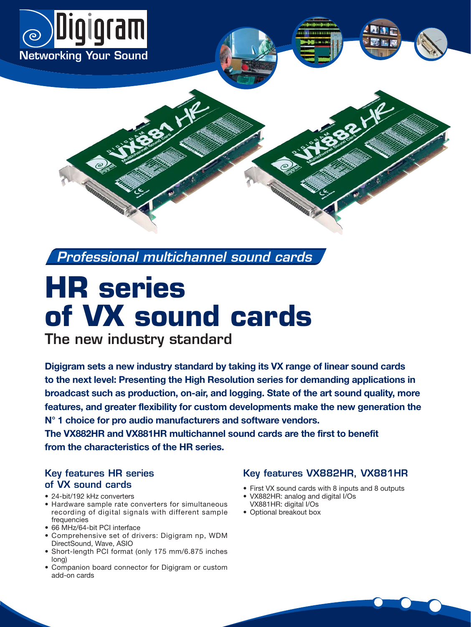

*Professional multichannel sound cards*

# **HR series of VX sound cards**

**The new industry standard** 

**Digigram sets a new industry standard by taking its VX range of linear sound cards to the next level: Presenting the High Resolution series for demanding applications in broadcast such as production, on-air, and logging. State of the art sound quality, more features, and greater flexibility for custom developments make the new generation the N° 1 choice for pro audio manufacturers and software vendors.** 

**The VX882HR and VX881HR multichannel sound cards are the first to benefit from the characteristics of the HR series.**

## **Key features HR series of VX sound cards**

- 24-bit/192 kHz converters
- Hardware sample rate converters for simultaneous recording of digital signals with different sample frequencies
- 66 MHz/64-bit PCI interface
- Comprehensive set of drivers: Digigram np, WDM DirectSound, Wave, ASIO
- Short-length PCI format (only 175 mm/6.875 inches long)
- Companion board connector for Digigram or custom add-on cards

## **Key features VX882HR, VX881HR**

- First VX sound cards with 8 inputs and 8 outputs
- VX882HR: analog and digital I/Os VX881HR: digital I/Os
- Optional breakout box